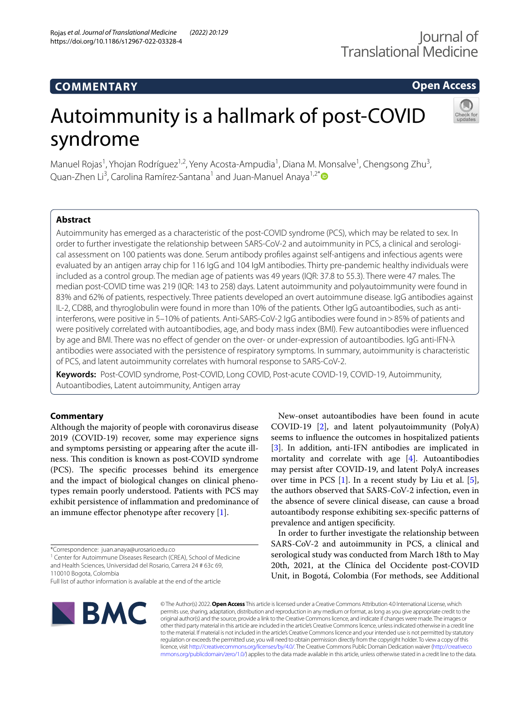### **COMMENTARY**

**Open Access**

# Autoimmunity is a hallmark of post-COVID syndrome



Manuel Rojas<sup>1</sup>, Yhojan Rodríguez<sup>1,2</sup>, Yeny Acosta-Ampudia<sup>1</sup>, Diana M. Monsalve<sup>1</sup>, Chengsong Zhu<sup>3</sup>, Quan-Zhen Li<sup>3</sup>, Carolina Ramírez-Santana<sup>1</sup> and Juan-Manuel Anaya<sup>1,2[\\*](http://orcid.org/0000-0002-6444-1249)</sup>

#### **Abstract**

Autoimmunity has emerged as a characteristic of the post-COVID syndrome (PCS), which may be related to sex. In order to further investigate the relationship between SARS-CoV-2 and autoimmunity in PCS, a clinical and serological assessment on 100 patients was done. Serum antibody profles against self-antigens and infectious agents were evaluated by an antigen array chip for 116 IgG and 104 IgM antibodies. Thirty pre-pandemic healthy individuals were included as a control group. The median age of patients was 49 years (IQR: 37.8 to 55.3). There were 47 males. The median post-COVID time was 219 (IQR: 143 to 258) days. Latent autoimmunity and polyautoimmunity were found in 83% and 62% of patients, respectively. Three patients developed an overt autoimmune disease. IgG antibodies against IL-2, CD8B, and thyroglobulin were found in more than 10% of the patients. Other IgG autoantibodies, such as antiinterferons, were positive in 5–10% of patients. Anti-SARS-CoV-2 IgG antibodies were found in>85% of patients and were positively correlated with autoantibodies, age, and body mass index (BMI). Few autoantibodies were infuenced by age and BMI. There was no efect of gender on the over- or under-expression of autoantibodies. IgG anti-IFN-λ antibodies were associated with the persistence of respiratory symptoms. In summary, autoimmunity is characteristic of PCS, and latent autoimmunity correlates with humoral response to SARS-CoV-2.

**Keywords:** Post-COVID syndrome, Post-COVID, Long COVID, Post-acute COVID-19, COVID-19, Autoimmunity, Autoantibodies, Latent autoimmunity, Antigen array

#### **Commentary**

Although the majority of people with coronavirus disease 2019 (COVID-19) recover, some may experience signs and symptoms persisting or appearing after the acute illness. This condition is known as post-COVID syndrome (PCS). The specific processes behind its emergence and the impact of biological changes on clinical phenotypes remain poorly understood. Patients with PCS may exhibit persistence of infammation and predominance of an immune effector phenotype after recovery  $[1]$  $[1]$ .

<sup>1</sup> Center for Autoimmune Diseases Research (CREA), School of Medicine and Health Sciences, Universidad del Rosario, Carrera 24 # 63c 69, 110010 Bogota, Colombia

Full list of author information is available at the end of the article



New-onset autoantibodies have been found in acute COVID-19 [\[2](#page-3-1)], and latent polyautoimmunity (PolyA) seems to infuence the outcomes in hospitalized patients [[3\]](#page-3-2). In addition, anti-IFN antibodies are implicated in mortality and correlate with age [\[4](#page-3-3)]. Autoantibodies may persist after COVID-19, and latent PolyA increases over time in PCS [\[1](#page-3-0)]. In a recent study by Liu et al. [\[5](#page-4-0)], the authors observed that SARS-CoV-2 infection, even in the absence of severe clinical disease, can cause a broad autoantibody response exhibiting sex-specifc patterns of prevalence and antigen specifcity.

In order to further investigate the relationship between SARS-CoV-2 and autoimmunity in PCS, a clinical and serological study was conducted from March 18th to May 20th, 2021, at the Clínica del Occidente post-COVID Unit, in Bogotá, Colombia (For methods, see Additional

© The Author(s) 2022. **Open Access** This article is licensed under a Creative Commons Attribution 4.0 International License, which permits use, sharing, adaptation, distribution and reproduction in any medium or format, as long as you give appropriate credit to the original author(s) and the source, provide a link to the Creative Commons licence, and indicate if changes were made. The images or other third party material in this article are included in the article's Creative Commons licence, unless indicated otherwise in a credit line to the material. If material is not included in the article's Creative Commons licence and your intended use is not permitted by statutory regulation or exceeds the permitted use, you will need to obtain permission directly from the copyright holder. To view a copy of this licence, visit [http://creativecommons.org/licenses/by/4.0/.](http://creativecommons.org/licenses/by/4.0/) The Creative Commons Public Domain Dedication waiver ([http://creativeco](http://creativecommons.org/publicdomain/zero/1.0/) [mmons.org/publicdomain/zero/1.0/](http://creativecommons.org/publicdomain/zero/1.0/)) applies to the data made available in this article, unless otherwise stated in a credit line to the data.

<sup>\*</sup>Correspondence: juan.anaya@urosario.edu.co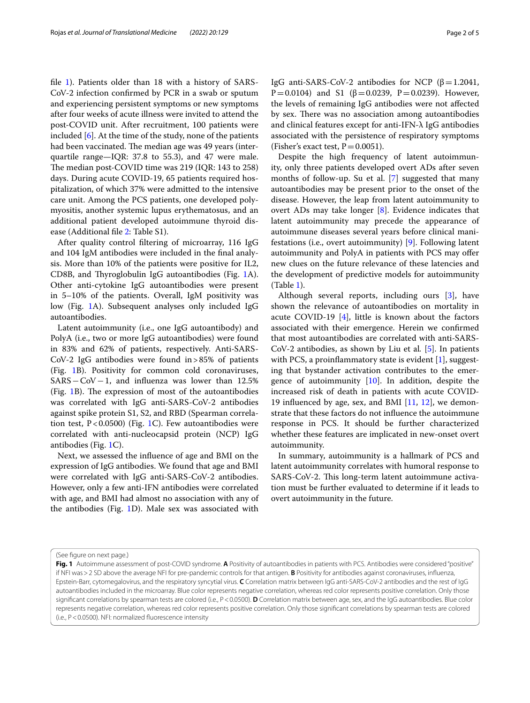file [1](#page-3-4)). Patients older than 18 with a history of SARS-CoV-2 infection confrmed by PCR in a swab or sputum and experiencing persistent symptoms or new symptoms after four weeks of acute illness were invited to attend the post-COVID unit. After recruitment, 100 patients were included [[6\]](#page-4-1). At the time of the study, none of the patients had been vaccinated. The median age was 49 years (interquartile range—IQR: 37.8 to 55.3), and 47 were male. The median post-COVID time was 219 (IQR: 143 to 258) days. During acute COVID-19, 65 patients required hospitalization, of which 37% were admitted to the intensive care unit. Among the PCS patients, one developed polymyositis, another systemic lupus erythematosus, and an additional patient developed autoimmune thyroid disease (Additional fle [2](#page-3-5): Table S1).

After quality control fltering of microarray, 116 IgG and 104 IgM antibodies were included in the fnal analysis. More than 10% of the patients were positive for IL2, CD8B, and Thyroglobulin IgG autoantibodies (Fig. [1](#page-1-0)A). Other anti-cytokine IgG autoantibodies were present in 5–10% of the patients. Overall, IgM positivity was low (Fig. [1](#page-1-0)A). Subsequent analyses only included IgG autoantibodies.

Latent autoimmunity (i.e., one IgG autoantibody) and PolyA (i.e., two or more IgG autoantibodies) were found in 83% and 62% of patients, respectively. Anti-SARS-CoV-2 IgG antibodies were found in>85% of patients (Fig. [1B](#page-1-0)). Positivity for common cold coronaviruses, SARS−CoV−1, and infuenza was lower than 12.5% (Fig.  $1B$  $1B$ ). The expression of most of the autoantibodies was correlated with IgG anti-SARS-CoV-2 antibodies against spike protein S1, S2, and RBD (Spearman correlation test,  $P < 0.0500$ ) (Fig. [1C](#page-1-0)). Few autoantibodies were correlated with anti-nucleocapsid protein (NCP) IgG antibodies (Fig. [1C](#page-1-0)).

Next, we assessed the infuence of age and BMI on the expression of IgG antibodies. We found that age and BMI were correlated with IgG anti-SARS-CoV-2 antibodies. However, only a few anti-IFN antibodies were correlated with age, and BMI had almost no association with any of the antibodies (Fig. [1D](#page-1-0)). Male sex was associated with IgG anti-SARS-CoV-2 antibodies for NCP (β=1.2041, P=0.0104) and S1 (β=0.0239, P=0.0239). However, the levels of remaining IgG antibodies were not afected by sex. There was no association among autoantibodies and clinical features except for anti-IFN-λ IgG antibodies associated with the persistence of respiratory symptoms (Fisher's exact test,  $P = 0.0051$ ).

Despite the high frequency of latent autoimmunity, only three patients developed overt ADs after seven months of follow-up. Su et al. [[7\]](#page-4-2) suggested that many autoantibodies may be present prior to the onset of the disease. However, the leap from latent autoimmunity to overt ADs may take longer  $[8]$  $[8]$ . Evidence indicates that latent autoimmunity may precede the appearance of autoimmune diseases several years before clinical manifestations (i.e., overt autoimmunity) [[9\]](#page-4-4). Following latent autoimmunity and PolyA in patients with PCS may ofer new clues on the future relevance of these latencies and the development of predictive models for autoimmunity (Table [1\)](#page-3-6).

Although several reports, including ours [\[3](#page-3-2)], have shown the relevance of autoantibodies on mortality in acute COVID-19 [\[4](#page-3-3)], little is known about the factors associated with their emergence. Herein we confrmed that most autoantibodies are correlated with anti-SARS-CoV-2 antibodies, as shown by Liu et al*.* [\[5](#page-4-0)]. In patients with PCS, a proinflammatory state is evident [[1](#page-3-0)], suggesting that bystander activation contributes to the emergence of autoimmunity [\[10\]](#page-4-5). In addition, despite the increased risk of death in patients with acute COVID-19 infuenced by age, sex, and BMI [[11,](#page-4-6) [12](#page-4-7)], we demonstrate that these factors do not infuence the autoimmune response in PCS. It should be further characterized whether these features are implicated in new-onset overt autoimmunity.

In summary, autoimmunity is a hallmark of PCS and latent autoimmunity correlates with humoral response to SARS-CoV-2. This long-term latent autoimmune activation must be further evaluated to determine if it leads to overt autoimmunity in the future.

(See figure on next page.)

<span id="page-1-0"></span>**Fig. 1** Autoimmune assessment of post-COVID syndrome. **A** Positivity of autoantibodies in patients with PCS. Antibodies were considered "positive" if NFI was>2 SD above the average NFI for pre-pandemic controls for that antigen. **B** Positivity for antibodies against coronaviruses, infuenza, Epstein-Barr, cytomegalovirus, and the respiratory syncytial virus. **C** Correlation matrix between IgG anti-SARS-CoV-2 antibodies and the rest of IgG autoantibodies included in the microarray. Blue color represents negative correlation, whereas red color represents positive correlation. Only those significant correlations by spearman tests are colored (i.e., P<0.0500). **D** Correlation matrix between age, sex, and the IgG autoantibodies. Blue color represents negative correlation, whereas red color represents positive correlation. Only those signifcant correlations by spearman tests are colored (i.e., P<0.0500). NFI: normalized fuorescence intensity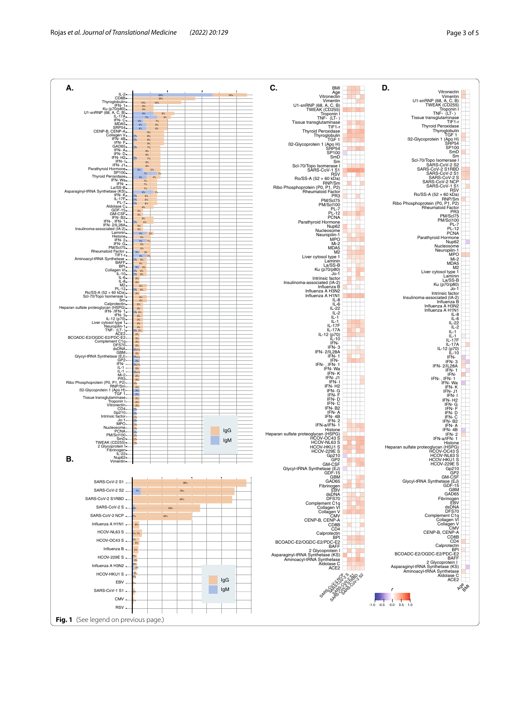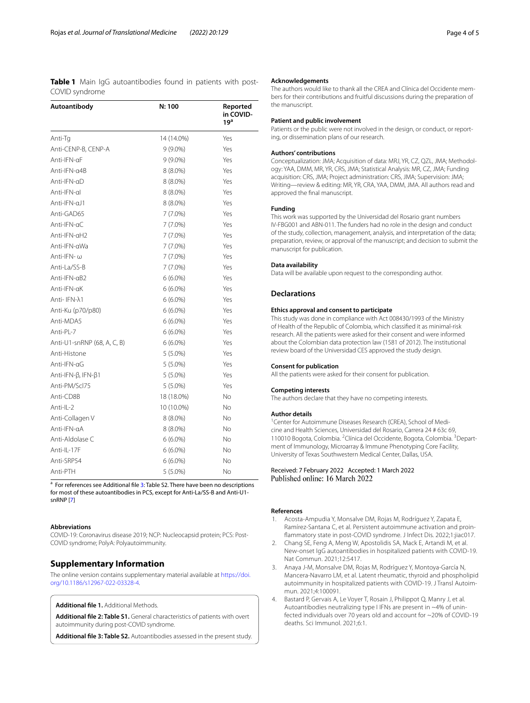<span id="page-3-6"></span>**Table 1** Main IgG autoantibodies found in patients with post-COVID syndrome

| Autoantibody                | N: 100     | Reported<br>in COVID-<br>19 <sup>a</sup> |
|-----------------------------|------------|------------------------------------------|
| Anti-Tq                     | 14 (14.0%) | Yes                                      |
| Anti-CENP-B, CENP-A         | $9(9.0\%)$ | Yes                                      |
| Anti-IFN-aF                 | $9(9.0\%)$ | Yes                                      |
| Anti-IFN-a4B                | $8(8.0\%)$ | Yes                                      |
| Anti-IFN-αD                 | $8(8.0\%)$ | Yes                                      |
| Anti-IFN-al                 | $8(8.0\%)$ | Yes                                      |
| Anti-IFN-aJ1                | $8(8.0\%)$ | Yes                                      |
| Anti-GAD65                  | 7 (7.0%)   | Yes                                      |
| Anti-IFN-aC                 | 7 (7.0%)   | Yes                                      |
| Anti-IFN-aH2                | $7(7.0\%)$ | Yes                                      |
| Anti-IFN-aWa                | 7 (7.0%)   | Yes                                      |
| Anti-IFN- $\omega$          | 7 (7.0%)   | Yes                                      |
| Anti-La/SS-B                | $7(7.0\%)$ | Yes                                      |
| Anti-IFN-aB2                | $6(6.0\%)$ | Yes                                      |
| Anti-IFN-aK                 | $6(6.0\%)$ | Yes                                      |
| Anti- IFN-λ1                | $6(6.0\%)$ | Yes                                      |
| Anti-Ku (p70/p80)           | $6(6.0\%)$ | Yes                                      |
| Anti-MDA5                   | $6(6.0\%)$ | Yes                                      |
| Anti-PL-7                   | $6(6.0\%)$ | Yes                                      |
| Anti-U1-snRNP (68, A, C, B) | $6(6.0\%)$ | Yes                                      |
| Anti-Histone                | $5(5.0\%)$ | Yes                                      |
| Anti-IFN-aG                 | $5(5.0\%)$ | Yes                                      |
| Anti-IFN-β, IFN-β1          | $5(5.0\%)$ | Yes                                      |
| Anti-PM/Scl75               | $5(5.0\%)$ | Yes                                      |
| Anti-CD8B                   | 18 (18.0%) | No                                       |
| Anti-IL-2                   | 10 (10.0%) | No                                       |
| Anti-Collagen V             | $8(8.0\%)$ | No                                       |
| Anti-IFN-aA                 | $8(8.0\%)$ | No                                       |
| Anti-Aldolase C             | $6(6.0\%)$ | No                                       |
| Anti-IL-17F                 | $6(6.0\%)$ | No                                       |
| Anti-SRP54                  | $6(6.0\%)$ | No                                       |
| Anti-PTH                    | $5(5.0\%)$ | No                                       |

<sup>a</sup> For references see Additional file [3:](#page-3-7) Table S2. There have been no descriptions for most of these autoantibodies in PCS, except for Anti-La/SS-B and Anti-U1 snRNP [[7\]](#page-4-2)

#### **Abbreviations**

COVID-19: Coronavirus disease 2019; NCP: Nucleocapsid protein; PCS: Post-COVID syndrome; PolyA: Polyautoimmunity.

#### **Supplementary Information**

The online version contains supplementary material available at [https://doi.](https://doi.org/10.1186/s12967-022-03328-4) [org/10.1186/s12967-022-03328-4](https://doi.org/10.1186/s12967-022-03328-4).

<span id="page-3-5"></span><span id="page-3-4"></span>**Additional fle 1.** Additional Methods.

<span id="page-3-7"></span>**Additional fle 2: Table S1.** General characteristics of patients with overt autoimmunity during post-COVID syndrome.

**Additional fle 3: Table S2.** Autoantibodies assessed in the present study.

#### **Acknowledgements**

The authors would like to thank all the CREA and Clínica del Occidente members for their contributions and fruitful discussions during the preparation of the manuscript.

#### **Patient and public involvement**

Patients or the public were not involved in the design, or conduct, or reporting, or dissemination plans of our research.

#### **Authors' contributions**

Conceptualization: JMA; Acquisition of data: MRJ, YR, CZ, QZL, JMA; Methodology: YAA, DMM, MR, YR, CRS, JMA; Statistical Analysis: MR, CZ, JMA; Funding acquisition: CRS, JMA; Project administration: CRS, JMA; Supervision: JMA; Writing—review & editing: MR, YR, CRA, YAA, DMM, JMA. All authors read and approved the fnal manuscript.

#### **Funding**

This work was supported by the Universidad del Rosario grant numbers IV-FBG001 and ABN-011. The funders had no role in the design and conduct of the study, collection, management, analysis, and interpretation of the data; preparation, review, or approval of the manuscript; and decision to submit the manuscript for publication.

#### **Data availability**

Data will be available upon request to the corresponding author.

#### **Declarations**

#### **Ethics approval and consent to participate**

This study was done in compliance with Act 008430/1993 of the Ministry of Health of the Republic of Colombia, which classifed it as minimal-risk research. All the patients were asked for their consent and were informed about the Colombian data protection law (1581 of 2012). The institutional review board of the Universidad CES approved the study design.

#### **Consent for publication**

All the patients were asked for their consent for publication.

#### **Competing interests**

The authors declare that they have no competing interests.

#### **Author details**

<sup>1</sup> Center for Autoimmune Diseases Research (CREA), School of Medicine and Health Sciences, Universidad del Rosario, Carrera 24 # 63c 69, 110010 Bogota, Colombia. <sup>2</sup> Clínica del Occidente, Bogota, Colombia. <sup>3</sup> Department of Immunology, Microarray & Immune Phenotyping Core Facility, University of Texas Southwestern Medical Center, Dallas, USA.

## Received: 7 February 2022 Accepted: 1 March 2022

#### **References**

- <span id="page-3-0"></span>1. Acosta-Ampudia Y, Monsalve DM, Rojas M, Rodríguez Y, Zapata E, Ramírez-Santana C, et al. Persistent autoimmune activation and proinfammatory state in post-COVID syndrome. J Infect Dis. 2022;1:jiac017.
- <span id="page-3-1"></span>2. Chang SE, Feng A, Meng W, Apostolidis SA, Mack E, Artandi M, et al. New-onset IgG autoantibodies in hospitalized patients with COVID-19. Nat Commun. 2021;12:5417.
- <span id="page-3-2"></span>3. Anaya J-M, Monsalve DM, Rojas M, Rodríguez Y, Montoya-García N, Mancera-Navarro LM, et al. Latent rheumatic, thyroid and phospholipid autoimmunity in hospitalized patients with COVID-19. J Transl Autoimmun. 2021;4:100091.
- <span id="page-3-3"></span>4. Bastard P, Gervais A, Le Voyer T, Rosain J, Philippot Q, Manry J, et al. Autoantibodies neutralizing type I IFNs are present in ~4% of uninfected individuals over 70 years old and account for ~20% of COVID-19 deaths. Sci Immunol. 2021;6:1.